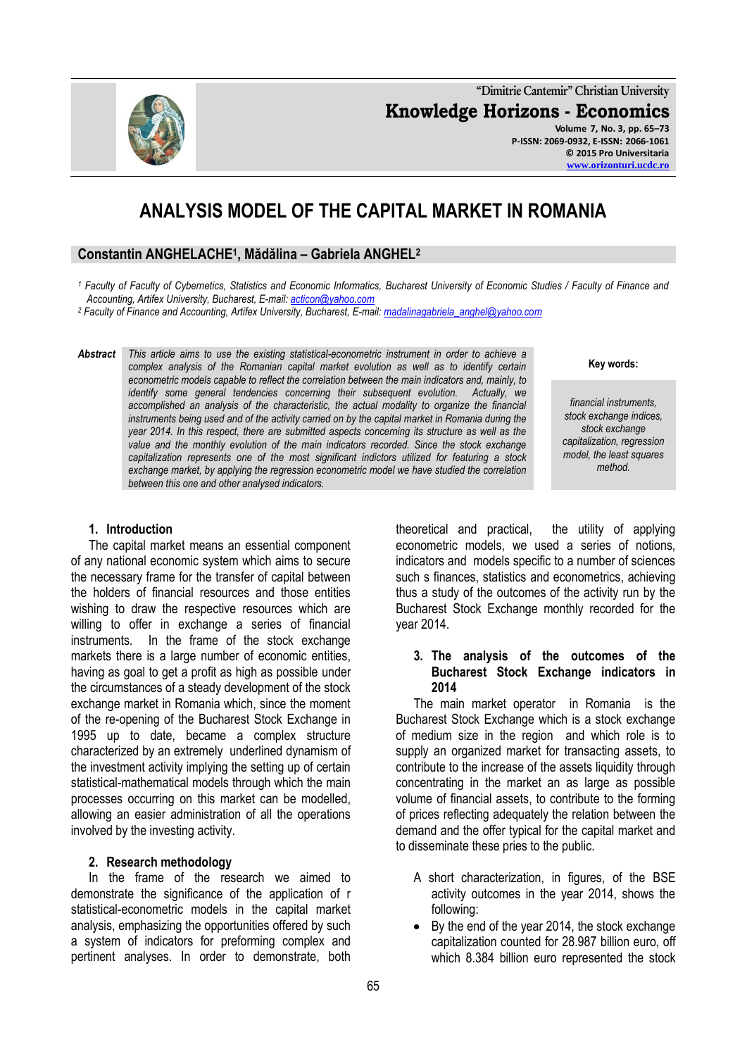**"Dimitrie Cantemir" Christian University Knowledge Horizons - Economics Volume 7, No. 3, pp. 65–73 P-ISSN: 2069-0932, E-ISSN: 2066-1061 © 2015 Pro Universitaria**

# **ANALYSIS MODEL OF THE CAPITAL MARKET IN ROMANIA**

## **Constantin ANGHELACHE<sup>1</sup> , Mădălina – Gabriela ANGHEL<sup>2</sup>**

*<sup>1</sup> Faculty of Faculty of Cybernetics, Statistics and Economic Informatics, Bucharest University of Economic Studies / Faculty of Finance and Accounting, Artifex University, Bucharest, E-mail: [acticon@yahoo.com](mailto:acticon@yahoo.com)*

*<sup>2</sup> Faculty of Finance and Accounting, Artifex University, Bucharest, E-mail[: madalinagabriela\\_anghel@yahoo.com](mailto:madalinagabriela_anghel@yahoo.com)*

*Abstract This article aims to use the existing statistical-econometric instrument in order to achieve a complex analysis of the Romanian capital market evolution as well as to identify certain econometric models capable to reflect the correlation between the main indicators and, mainly, to identify some general tendencies concerning their subsequent evolution. Actually, we accomplished an analysis of the characteristic, the actual modality to organize the financial instruments being used and of the activity carried on by the capital market in Romania during the year 2014. In this respect, there are submitted aspects concerning its structure as well as the value and the monthly evolution of the main indicators recorded. Since the stock exchange capitalization represents one of the most significant indictors utilized for featuring a stock exchange market, by applying the regression econometric model we have studied the correlation between this one and other analysed indicators.*

## **1. Introduction**

The capital market means an essential component of any national economic system which aims to secure the necessary frame for the transfer of capital between the holders of financial resources and those entities wishing to draw the respective resources which are willing to offer in exchange a series of financial instruments. In the frame of the stock exchange markets there is a large number of economic entities, having as goal to get a profit as high as possible under the circumstances of a steady development of the stock exchange market in Romania which, since the moment of the re-opening of the Bucharest Stock Exchange in 1995 up to date, became a complex structure characterized by an extremely underlined dynamism of the investment activity implying the setting up of certain statistical-mathematical models through which the main processes occurring on this market can be modelled, allowing an easier administration of all the operations involved by the investing activity.

#### **2. Research methodology**

In the frame of the research we aimed to demonstrate the significance of the application of r statistical-econometric models in the capital market analysis, emphasizing the opportunities offered by such a system of indicators for preforming complex and pertinent analyses. In order to demonstrate, both

theoretical and practical, the utility of applying econometric models, we used a series of notions, indicators and models specific to a number of sciences such s finances, statistics and econometrics, achieving thus a study of the outcomes of the activity run by the Bucharest Stock Exchange monthly recorded for the year 2014.

#### **3. The analysis of the outcomes of the Bucharest Stock Exchange indicators in 2014**

The main market operator in Romania is the Bucharest Stock Exchange which is a stock exchange of medium size in the region and which role is to supply an organized market for transacting assets, to contribute to the increase of the assets liquidity through concentrating in the market an as large as possible volume of financial assets, to contribute to the forming of prices reflecting adequately the relation between the demand and the offer typical for the capital market and to disseminate these pries to the public.

- A short characterization, in figures, of the BSE activity outcomes in the year 2014, shows the following:
- By the end of the year 2014, the stock exchange capitalization counted for 28.987 billion euro, off which 8.384 billion euro represented the stock

#### **Key words:**

**[www.orizonturi.ucdc.ro](http://www.orizonturi.ucdc.ro/)**

*financial instruments, stock exchange indices, stock exchange capitalization, regression model, the least squares method.*

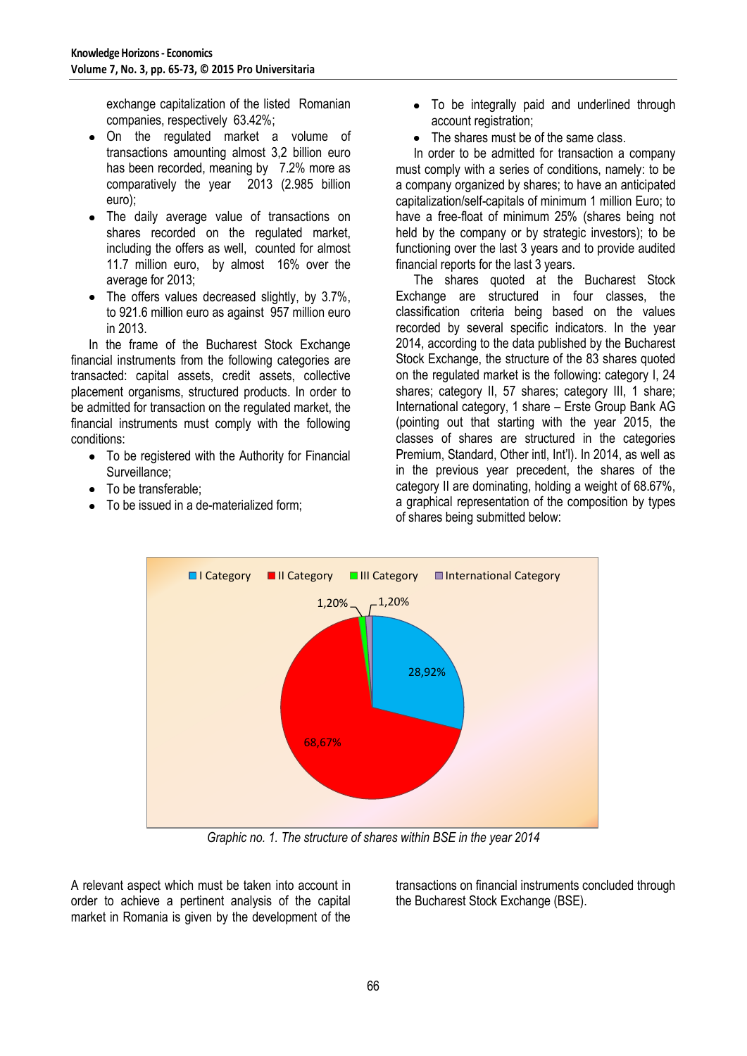exchange capitalization of the listed Romanian companies, respectively 63.42%;

- On the regulated market a volume of transactions amounting almost 3,2 billion euro has been recorded, meaning by 7.2% more as comparatively the year 2013 (2.985 billion euro);
- The daily average value of transactions on  $\bullet$ shares recorded on the regulated market, including the offers as well, counted for almost 11.7 million euro, by almost 16% over the average for 2013;
- The offers values decreased slightly, by 3.7%, to 921.6 million euro as against 957 million euro in 2013.

In the frame of the Bucharest Stock Exchange financial instruments from the following categories are transacted: capital assets, credit assets, collective placement organisms, structured products. In order to be admitted for transaction on the regulated market, the financial instruments must comply with the following conditions:

- To be registered with the Authority for Financial Surveillance;
- To be transferable:
- To be issued in a de-materialized form;
- To be integrally paid and underlined through account registration;
- The shares must be of the same class.

In order to be admitted for transaction a company must comply with a series of conditions, namely: to be a company organized by shares; to have an anticipated capitalization/self-capitals of minimum 1 million Euro; to have a free-float of minimum 25% (shares being not held by the company or by strategic investors); to be functioning over the last 3 years and to provide audited financial reports for the last 3 years.

The shares quoted at the Bucharest Stock Exchange are structured in four classes, the classification criteria being based on the values recorded by several specific indicators. In the year 2014, according to the data published by the Bucharest Stock Exchange, the structure of the 83 shares quoted on the regulated market is the following: category I, 24 shares; category II, 57 shares; category III, 1 share; International category, 1 share – Erste Group Bank AG (pointing out that starting with the year 2015, the classes of shares are structured in the categories Premium, Standard, Other intl, Int'l). In 2014, as well as in the previous year precedent, the shares of the category II are dominating, holding a weight of 68.67%, a graphical representation of the composition by types of shares being submitted below:



*Graphic no. 1. The structure of shares within BSE in the year 2014*

A relevant aspect which must be taken into account in order to achieve a pertinent analysis of the capital market in Romania is given by the development of the

transactions on financial instruments concluded through the Bucharest Stock Exchange (BSE).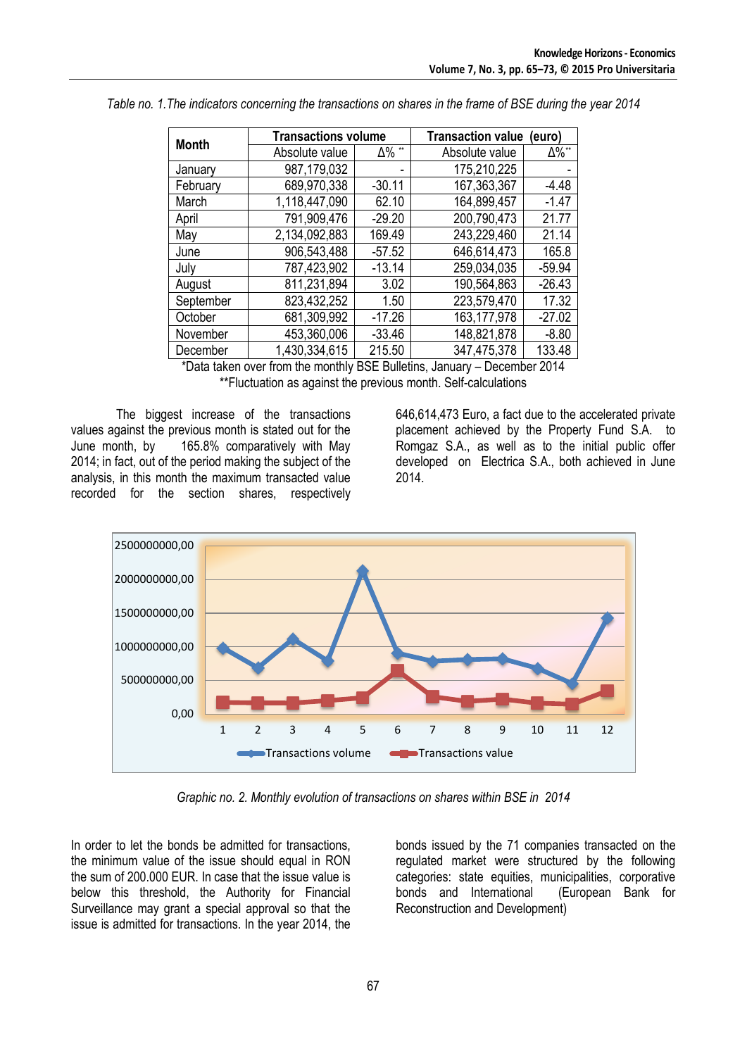| <b>Month</b> | <b>Transactions volume</b> |          | <b>Transaction value</b><br>(euro |               |  |  |
|--------------|----------------------------|----------|-----------------------------------|---------------|--|--|
|              | ∆% **<br>Absolute value    |          | Absolute value                    | $\Delta\%$ ** |  |  |
| January      | 987,179,032                |          | 175,210,225                       |               |  |  |
| February     | 689,970,338                | $-30.11$ | 167,363,367                       | $-4.48$       |  |  |
| March        | 1,118,447,090              | 62.10    | 164,899,457                       | $-1.47$       |  |  |
| April        | 791,909,476                | $-29.20$ | 200,790,473                       | 21.77         |  |  |
| May          | 2,134,092,883              | 169.49   | 243,229,460                       | 21.14         |  |  |
| June         | 906,543,488                | $-57.52$ | 646,614,473                       | 165.8         |  |  |
| July         | 787,423,902                | $-13.14$ | 259,034,035                       | $-59.94$      |  |  |
| August       | 811,231,894                | 3.02     | 190,564,863                       | $-26.43$      |  |  |
| September    | 823,432,252                | 1.50     | 223,579,470                       | 17.32         |  |  |
| October      | 681,309,992                | $-17.26$ | 163, 177, 978                     | $-27.02$      |  |  |
| November     | 453,360,006                | $-33.46$ | 148,821,878                       | $-8.80$       |  |  |
| December     | 1,430,334,615              | 215.50   | 347,475,378                       | 133.48        |  |  |
|              |                            |          |                                   |               |  |  |

*Table no. 1.The indicators concerning the transactions on shares in the frame of BSE during the year 2014*

\*Data taken over from the monthly BSE Bulletins, January – December 2014 \*\*Fluctuation as against the previous month. Self-calculations

The biggest increase of the transactions values against the previous month is stated out for the June month, by 165.8% comparatively with May 2014; in fact, out of the period making the subject of the analysis, in this month the maximum transacted value recorded for the section shares, respectively

646,614,473 Euro, a fact due to the accelerated private placement achieved by the Property Fund S.A. to Romgaz S.A., as well as to the initial public offer developed on Electrica S.A., both achieved in June 2014.



*Graphic no. 2. Monthly evolution of transactions on shares within BSE in 2014*

In order to let the bonds be admitted for transactions, the minimum value of the issue should equal in RON the sum of 200.000 EUR. In case that the issue value is below this threshold, the Authority for Financial Surveillance may grant a special approval so that the issue is admitted for transactions. In the year 2014, the bonds issued by the 71 companies transacted on the regulated market were structured by the following categories: state equities, municipalities, corporative bonds and International (European Bank for Reconstruction and Development)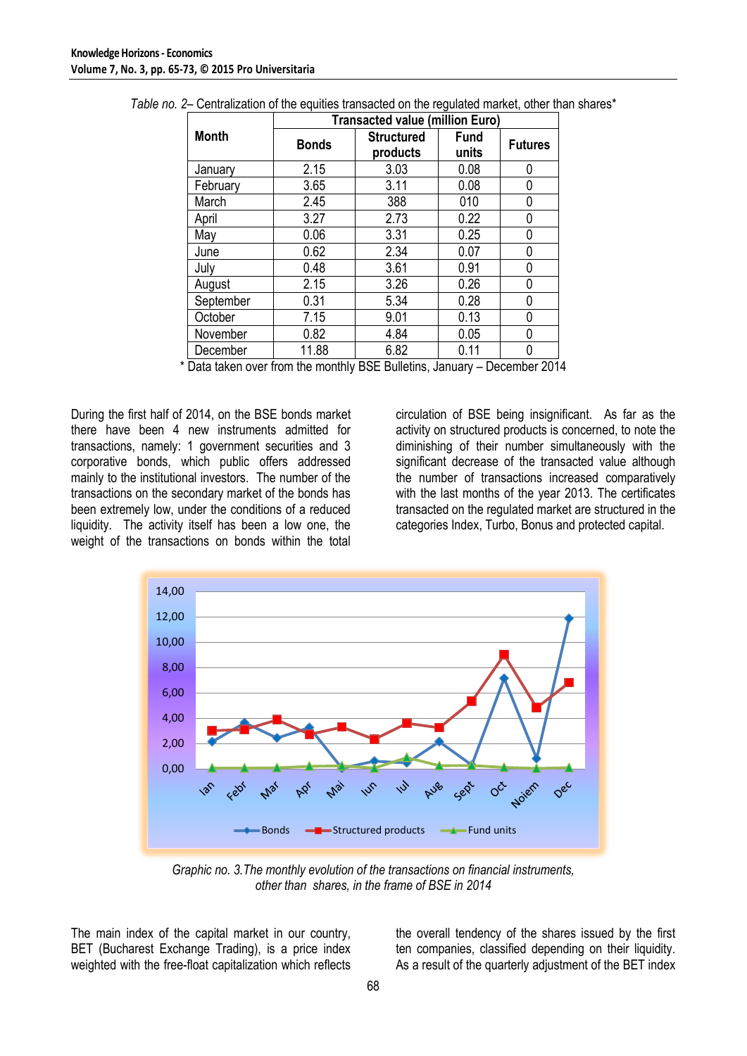|              | <b>Transacted value (million Euro)</b> |                               |                      |                |  |  |  |
|--------------|----------------------------------------|-------------------------------|----------------------|----------------|--|--|--|
| <b>Month</b> | <b>Bonds</b>                           | <b>Structured</b><br>products | <b>Fund</b><br>units | <b>Futures</b> |  |  |  |
| January      | 2.15                                   | 3.03                          | 0.08                 | 0              |  |  |  |
| February     | 3.65                                   | 3.11                          | 0.08                 | 0              |  |  |  |
| March        | 2.45                                   | 388                           | 010                  | U              |  |  |  |
| April        | 3.27                                   | 2.73                          | 0.22                 | 0              |  |  |  |
| May          | 0.06                                   | 3.31                          | 0.25                 | 0              |  |  |  |
| June         | 0.62                                   | 2.34                          | 0.07                 | 0              |  |  |  |
| July         | 0.48                                   | 3.61                          | 0.91                 | N              |  |  |  |
| August       | 2.15                                   | 3.26                          | 0.26                 | 0              |  |  |  |
| September    | 0.31                                   | 5.34                          | 0.28                 | 0              |  |  |  |
| October      | 7.15                                   | 9.01                          | 0.13                 | 0              |  |  |  |
| November     | 0.82                                   | 4.84                          | 0.05                 | 0              |  |  |  |
| December     | 11.88                                  | 6.82                          | 0.11                 | N              |  |  |  |

*Table no. 2*– Centralization of the equities transacted on the regulated market, other than shares\*

\* Data taken over from the monthly BSE Bulletins, January – December 2014

During the first half of 2014, on the BSE bonds market there have been 4 new instruments admitted for transactions, namely: 1 government securities and 3 corporative bonds, which public offers addressed mainly to the institutional investors. The number of the transactions on the secondary market of the bonds has been extremely low, under the conditions of a reduced liquidity. The activity itself has been a low one, the weight of the transactions on bonds within the total

circulation of BSE being insignificant. As far as the activity on structured products is concerned, to note the diminishing of their number simultaneously with the significant decrease of the transacted value although the number of transactions increased comparatively with the last months of the year 2013. The certificates transacted on the regulated market are structured in the categories Index, Turbo, Bonus and protected capital.



*Graphic no. 3.The monthly evolution of the transactions on financial instruments, other than shares, in the frame of BSE in 2014*

The main index of the capital market in our country, BET (Bucharest Exchange Trading), is a price index weighted with the free-float capitalization which reflects

the overall tendency of the shares issued by the first ten companies, classified depending on their liquidity. As a result of the quarterly adjustment of the BET index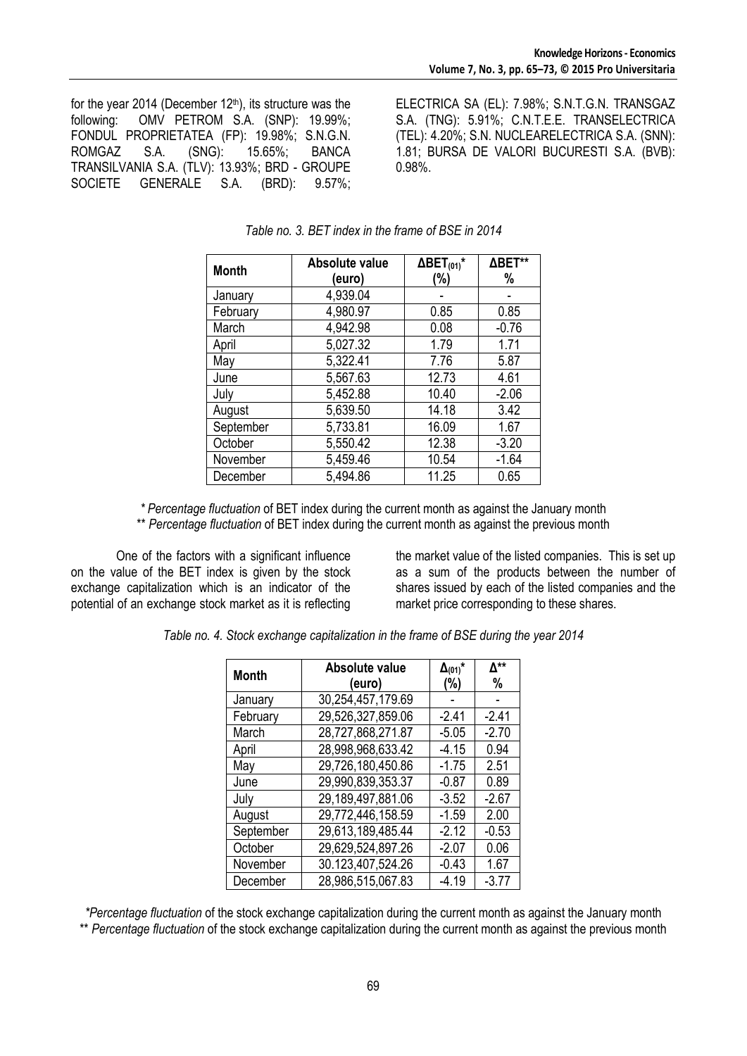for the year 2014 (December  $12<sup>th</sup>$ ), its structure was the following: OMV PETROM S.A. (SNP): 19.99%; FONDUL PROPRIETATEA (FP): 19.98%; S.N.G.N. ROMGAZ S.A. (SNG): 15.65%; BANCA TRANSILVANIA S.A. (TLV): 13.93%; BRD - GROUPE SOCIETE GENERALE S.A. (BRD): 9.57%;

ELECTRICA SA (EL): 7.98%; S.N.T.G.N. TRANSGAZ S.A. (TNG): 5.91%; C.N.T.E.E. TRANSELECTRICA (TEL): 4.20%; S.N. NUCLEARELECTRICA S.A. (SNN): 1.81; BURSA DE VALORI BUCURESTI S.A. (BVB): 0.98%.

| <b>Month</b>         | Absolute value | $\Delta$ BET <sub>(01)</sub> * | ΔBET**  |  |
|----------------------|----------------|--------------------------------|---------|--|
|                      | (euro)         | (%)                            | %       |  |
| January              | 4,939.04       |                                |         |  |
| February             | 4,980.97       | 0.85                           | 0.85    |  |
| March                | 4,942.98       | 0.08                           | $-0.76$ |  |
| April                | 5.027.32       | 1.79                           | 1.71    |  |
| May                  | 5,322.41       | 7.76                           | 5.87    |  |
| June                 | 5,567.63       | 12.73                          | 4.61    |  |
| July                 | 5,452.88       | 10.40                          | $-2.06$ |  |
| August               | 5.639.50       | 14.18                          | 3.42    |  |
| September            | 5,733.81       | 16.09                          | 1.67    |  |
| October              | 5,550.42       | 12.38                          | $-3.20$ |  |
| November             | 5,459.46       | 10.54                          | $-1.64$ |  |
| 5,494.86<br>December |                | 11.25                          | 0.65    |  |

### *Table no. 3. BET index in the frame of BSE in 2014*

*\* Percentage fluctuation* of BET index during the current month as against the January month

\*\* *Percentage fluctuation* of BET index during the current month as against the previous month

One of the factors with a significant influence on the value of the BET index is given by the stock exchange capitalization which is an indicator of the potential of an exchange stock market as it is reflecting

the market value of the listed companies. This is set up as a sum of the products between the number of shares issued by each of the listed companies and the market price corresponding to these shares.

*Table no. 4. Stock exchange capitalization in the frame of BSE during the year 2014*

| <b>Month</b> | Absolute value    | $\Delta_{(01)}$ * | Δ**     |
|--------------|-------------------|-------------------|---------|
|              | (euro)            | (%)               | %       |
| January      | 30,254,457,179.69 |                   |         |
| February     | 29,526,327,859.06 | $-2.41$           | $-2.41$ |
| March        | 28,727,868,271.87 | $-5.05$           | $-2.70$ |
| April        | 28,998,968,633.42 | $-4.15$           | 0.94    |
| May          | 29,726,180,450.86 | $-1.75$           | 2.51    |
| June         | 29,990,839,353.37 | $-0.87$           | 0.89    |
| July         | 29,189,497,881.06 | $-3.52$           | $-2.67$ |
| August       | 29,772,446,158.59 | $-1.59$           | 2.00    |
| September    | 29,613,189,485.44 | $-2.12$           | $-0.53$ |
| October      | 29,629,524,897.26 | $-2.07$           | 0.06    |
| November     | 30.123,407,524.26 | $-0.43$           | 1.67    |
| December     | 28,986,515,067.83 | $-4.19$           | $-3.77$ |

*\*Percentage fluctuation* of the stock exchange capitalization during the current month as against the January month

\*\* *Percentage fluctuation* of the stock exchange capitalization during the current month as against the previous month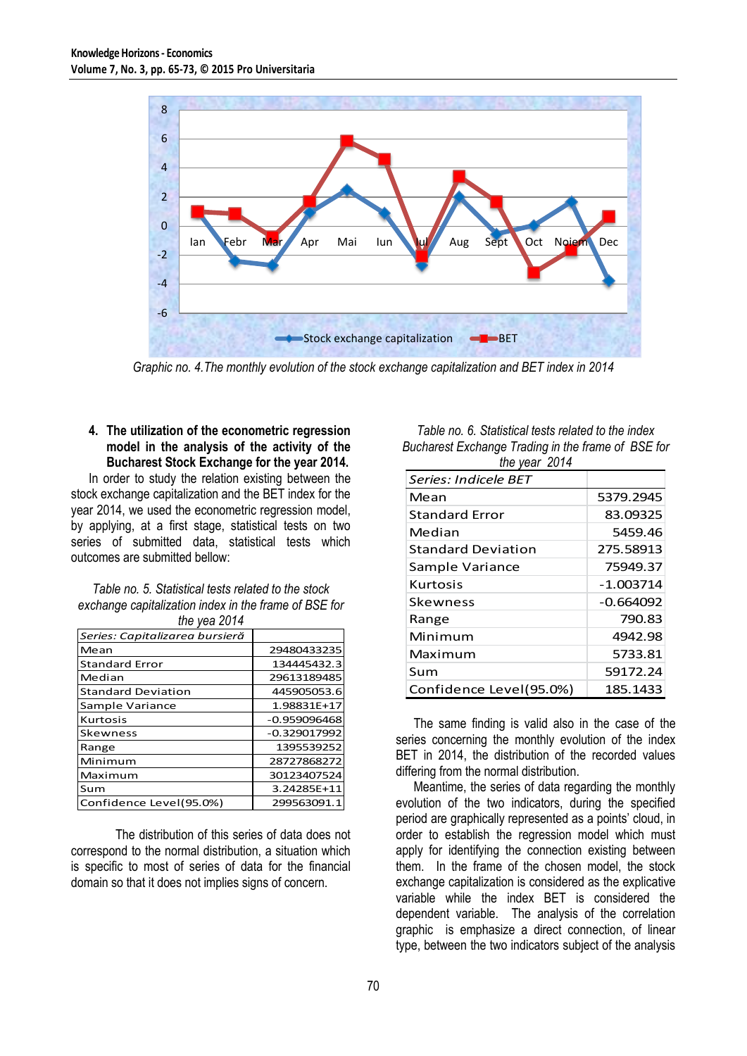

*Graphic no. 4.The monthly evolution of the stock exchange capitalization and BET index in 2014*

## **4. The utilization of the econometric regression model in the analysis of the activity of the Bucharest Stock Exchange for the year 2014.**

In order to study the relation existing between the stock exchange capitalization and the BET index for the year 2014, we used the econometric regression model, by applying, at a first stage, statistical tests on two series of submitted data, statistical tests which outcomes are submitted bellow:

| Table no. 5. Statistical tests related to the stock   |
|-------------------------------------------------------|
| exchange capitalization index in the frame of BSE for |
| the year $2014$                                       |

| $110$ you $2017$               |                |  |  |  |  |  |
|--------------------------------|----------------|--|--|--|--|--|
| Series: Capitalizarea bursieră |                |  |  |  |  |  |
| Mean                           | 29480433235    |  |  |  |  |  |
| <b>Standard Error</b>          | 134445432.3    |  |  |  |  |  |
| Median                         | 29613189485    |  |  |  |  |  |
| <b>Standard Deviation</b>      | 445905053.6    |  |  |  |  |  |
| Sample Variance                | 1.98831E+17    |  |  |  |  |  |
| <b>Kurtosis</b>                | $-0.959096468$ |  |  |  |  |  |
| Skewness                       | $-0.329017992$ |  |  |  |  |  |
| Range                          | 1395539252     |  |  |  |  |  |
| Minimum                        | 28727868272    |  |  |  |  |  |
| Maximum                        | 30123407524    |  |  |  |  |  |
| Sum                            | 3.24285E+11    |  |  |  |  |  |
| Confidence Level(95.0%)        | 299563091.1    |  |  |  |  |  |

The distribution of this series of data does not correspond to the normal distribution, a situation which is specific to most of series of data for the financial domain so that it does not implies signs of concern.

*Table no. 6. Statistical tests related to the index Bucharest Exchange Trading in the frame of BSE for the year 2014*

| $\overline{u}$ is $\overline{v}$ via $\overline{v}$ in $\overline{v}$ |             |
|-----------------------------------------------------------------------|-------------|
| Series: Indicele BET                                                  |             |
| Mean                                                                  | 5379.2945   |
| <b>Standard Frror</b>                                                 | 83.09325    |
| Median                                                                | 5459.46     |
| <b>Standard Deviation</b>                                             | 275.58913   |
| Sample Variance                                                       | 75949.37    |
| Kurtosis                                                              | $-1.003714$ |
| <b>Skewness</b>                                                       | $-0.664092$ |
| Range                                                                 | 790.83      |
| Minimum                                                               | 4942.98     |
| Maximum                                                               | 5733.81     |
| Sum                                                                   | 59172.24    |
| Confidence Level(95.0%)                                               | 185.1433    |

The same finding is valid also in the case of the series concerning the monthly evolution of the index BET in 2014, the distribution of the recorded values differing from the normal distribution.

Meantime, the series of data regarding the monthly evolution of the two indicators, during the specified period are graphically represented as a points' cloud, in order to establish the regression model which must apply for identifying the connection existing between them. In the frame of the chosen model, the stock exchange capitalization is considered as the explicative variable while the index BET is considered the dependent variable. The analysis of the correlation graphic is emphasize a direct connection, of linear type, between the two indicators subject of the analysis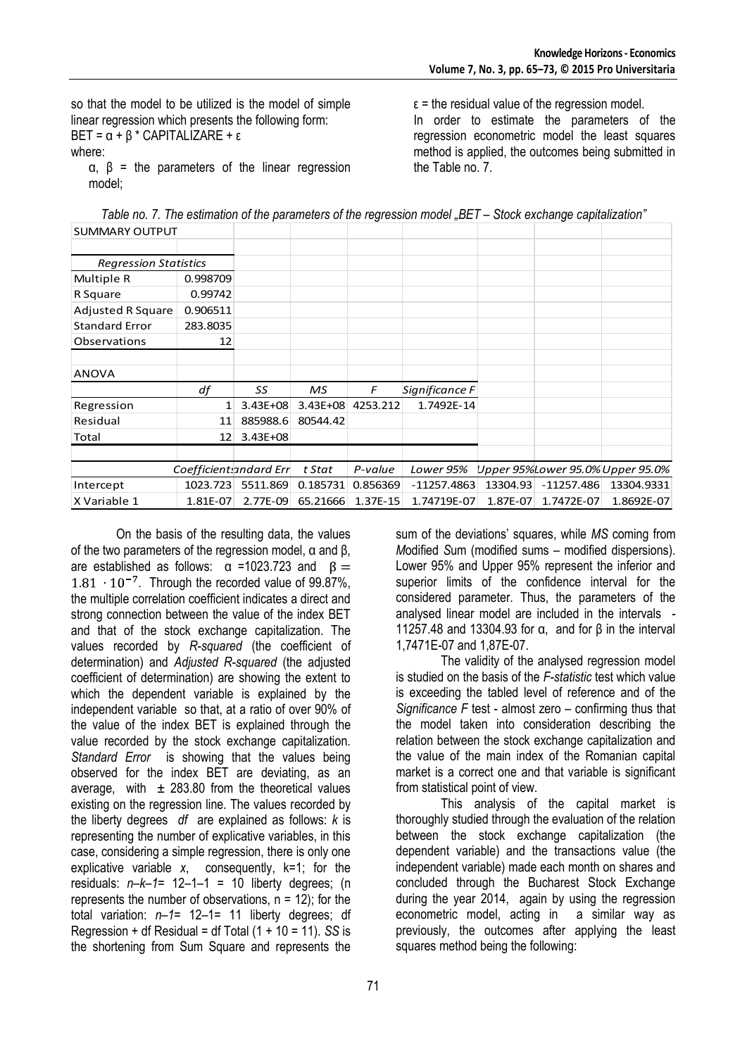so that the model to be utilized is the model of simple linear regression which presents the following form: BET =  $\alpha$  +  $\beta$  \* CAPITALIZARE + ε where:

α, β = the parameters of the linear regression model;

 $\epsilon$  = the residual value of the regression model.

In order to estimate the parameters of the regression econometric model the least squares method is applied, the outcomes being submitted in the Table no. 7.

Table no. 7. The estimation of the parameters of the regression model "BET – Stock exchange capitalization" SUMMARY OUTPUT

| <b>SUIVIIVIARY UUTPUT</b>    |                 |                        |              |              |                |          |              |                                  |
|------------------------------|-----------------|------------------------|--------------|--------------|----------------|----------|--------------|----------------------------------|
|                              |                 |                        |              |              |                |          |              |                                  |
| <b>Regression Statistics</b> |                 |                        |              |              |                |          |              |                                  |
| Multiple R                   | 0.998709        |                        |              |              |                |          |              |                                  |
| R Square                     | 0.99742         |                        |              |              |                |          |              |                                  |
| <b>Adjusted R Square</b>     | 0.906511        |                        |              |              |                |          |              |                                  |
| <b>Standard Error</b>        | 283.8035        |                        |              |              |                |          |              |                                  |
| Observations                 | 12              |                        |              |              |                |          |              |                                  |
|                              |                 |                        |              |              |                |          |              |                                  |
| ANOVA                        |                 |                        |              |              |                |          |              |                                  |
|                              | df              | SS                     | МS           | F            | Significance F |          |              |                                  |
| Regression                   | 1               | $3.43E + 08$           | $3.43E + 08$ | 4253.212     | 1.7492E-14     |          |              |                                  |
| Residual                     | 11              | 885988.6               | 80544.42     |              |                |          |              |                                  |
| Total                        | 12 <sup>1</sup> | $3.43E + 08$           |              |              |                |          |              |                                  |
|                              |                 |                        |              |              |                |          |              |                                  |
|                              |                 | Coefficientsandard Err | t Stat       | P-value      | Lower 95%      |          |              | Upper 95%Lower 95.0% Upper 95.0% |
| Intercept                    | 1023.723        | 5511.869               | 0.185731     | 0.856369     | $-11257.4863$  | 13304.93 | $-11257.486$ | 13304.9331                       |
| X Variable 1                 | 1.81E-07        | 2.77E-09               | 65.21666     | $1.37E - 15$ | 1.74719E-07    | 1.87E-07 | 1.7472E-07   | 1.8692E-07                       |

On the basis of the resulting data, the values of the two parameters of the regression model, α and β, are established as follows:  $\alpha$  =1023.723 and  $\beta$  =  $1.81 \cdot 10^{-7}$ . Through the recorded value of 99.87%, the multiple correlation coefficient indicates a direct and strong connection between the value of the index BET and that of the stock exchange capitalization. The values recorded by *R-squared* (the coefficient of determination) and *Adjusted R-squared* (the adjusted coefficient of determination) are showing the extent to which the dependent variable is explained by the independent variable so that, at a ratio of over 90% of the value of the index BET is explained through the value recorded by the stock exchange capitalization. *Standard Error* is showing that the values being observed for the index BET are deviating, as an average, with  $\pm$  283.80 from the theoretical values existing on the regression line. The values recorded by the liberty degrees *df* are explained as follows: *k* is representing the number of explicative variables, in this case, considering a simple regression, there is only one explicative variable *x*, consequently, k=1; for the residuals: *n–k–1*= 12–1–1 = 10 liberty degrees; (n represents the number of observations,  $n = 12$ ); for the total variation: *n–1*= 12–1= 11 liberty degrees; df Regression + df Residual = df Total (1 + 10 = 11). *SS* is the shortening from Sum Square and represents the

sum of the deviations' squares, while *MS* coming from *M*odified *S*um (modified sums – modified dispersions). Lower 95% and Upper 95% represent the inferior and superior limits of the confidence interval for the considered parameter. Thus, the parameters of the analysed linear model are included in the intervals - 11257.48 and 13304.93 for α, and for β in the interval 1,7471E-07 and 1,87E-07.

The validity of the analysed regression model is studied on the basis of the *F-statistic* test which value is exceeding the tabled level of reference and of the *Significance F* test - almost zero – confirming thus that the model taken into consideration describing the relation between the stock exchange capitalization and the value of the main index of the Romanian capital market is a correct one and that variable is significant from statistical point of view.

This analysis of the capital market is thoroughly studied through the evaluation of the relation between the stock exchange capitalization (the dependent variable) and the transactions value (the independent variable) made each month on shares and concluded through the Bucharest Stock Exchange during the year 2014, again by using the regression econometric model, acting in a similar way as previously, the outcomes after applying the least squares method being the following: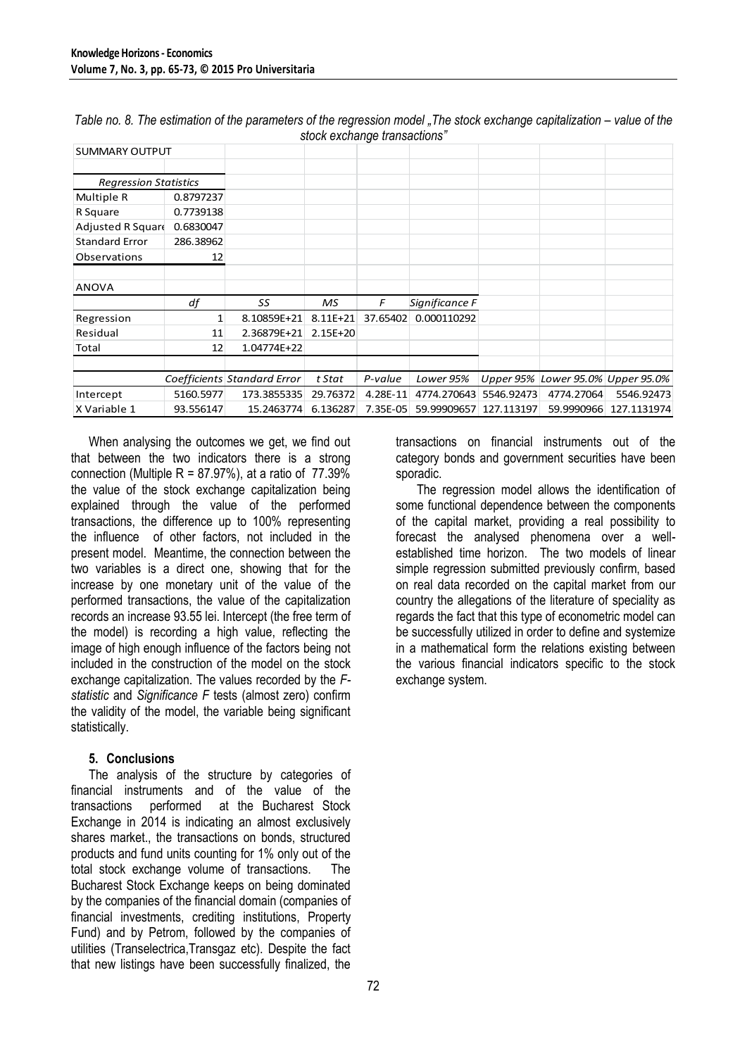| <b>SUMMARY OUTPUT</b>        |           |                             |              | ັ        |                |            |            |                                   |
|------------------------------|-----------|-----------------------------|--------------|----------|----------------|------------|------------|-----------------------------------|
| <b>Regression Statistics</b> |           |                             |              |          |                |            |            |                                   |
| Multiple R                   | 0.8797237 |                             |              |          |                |            |            |                                   |
| R Square                     | 0.7739138 |                             |              |          |                |            |            |                                   |
| Adjusted R Square            | 0.6830047 |                             |              |          |                |            |            |                                   |
| <b>Standard Error</b>        | 286.38962 |                             |              |          |                |            |            |                                   |
| Observations                 | 12        |                             |              |          |                |            |            |                                   |
| <b>ANOVA</b>                 |           |                             |              |          |                |            |            |                                   |
|                              | df        | SS                          | MS.          | F        | Significance F |            |            |                                   |
| Regression                   | 1         | 8.10859E+21                 | $8.11E + 21$ | 37.65402 | 0.000110292    |            |            |                                   |
| Residual                     | 11        | 2.36879E+21                 | $2.15E+20$   |          |                |            |            |                                   |
| Total                        | 12        | 1.04774E+22                 |              |          |                |            |            |                                   |
|                              |           |                             |              |          |                |            |            |                                   |
|                              |           | Coefficients Standard Error | t Stat       | P-value  | Lower 95%      |            |            | Upper 95% Lower 95.0% Upper 95.0% |
| Intercept                    | 5160.5977 | 173.3855335                 | 29.76372     | 4.28E-11 | 4774.270643    | 5546.92473 | 4774.27064 | 5546.92473                        |
| X Variable 1                 | 93.556147 | 15.2463774                  | 6.136287     | 7.35E-05 | 59.99909657    | 127.113197 | 59.9990966 | 127.1131974                       |

*Table no. 8. The estimation of the parameters of the regression model "The stock exchange capitalization – value of the stock exchange transactions"*

When analysing the outcomes we get, we find out that between the two indicators there is a strong connection (Multiple  $R = 87.97\%$ ), at a ratio of  $77.39\%$ the value of the stock exchange capitalization being explained through the value of the performed transactions, the difference up to 100% representing the influence of other factors, not included in the present model. Meantime, the connection between the two variables is a direct one, showing that for the increase by one monetary unit of the value of the performed transactions, the value of the capitalization records an increase 93.55 lei. Intercept (the free term of the model) is recording a high value, reflecting the image of high enough influence of the factors being not included in the construction of the model on the stock exchange capitalization. The values recorded by the *Fstatistic* and *Significance F* tests (almost zero) confirm the validity of the model, the variable being significant statistically.

## **5. Conclusions**

The analysis of the structure by categories of financial instruments and of the value of the transactions performed at the Bucharest Stock Exchange in 2014 is indicating an almost exclusively shares market., the transactions on bonds, structured products and fund units counting for 1% only out of the total stock exchange volume of transactions. The Bucharest Stock Exchange keeps on being dominated by the companies of the financial domain (companies of financial investments, crediting institutions, Property Fund) and by Petrom, followed by the companies of utilities (Transelectrica,Transgaz etc). Despite the fact that new listings have been successfully finalized, the

transactions on financial instruments out of the category bonds and government securities have been sporadic.

The regression model allows the identification of some functional dependence between the components of the capital market, providing a real possibility to forecast the analysed phenomena over a wellestablished time horizon. The two models of linear simple regression submitted previously confirm, based on real data recorded on the capital market from our country the allegations of the literature of speciality as regards the fact that this type of econometric model can be successfully utilized in order to define and systemize in a mathematical form the relations existing between the various financial indicators specific to the stock exchange system.